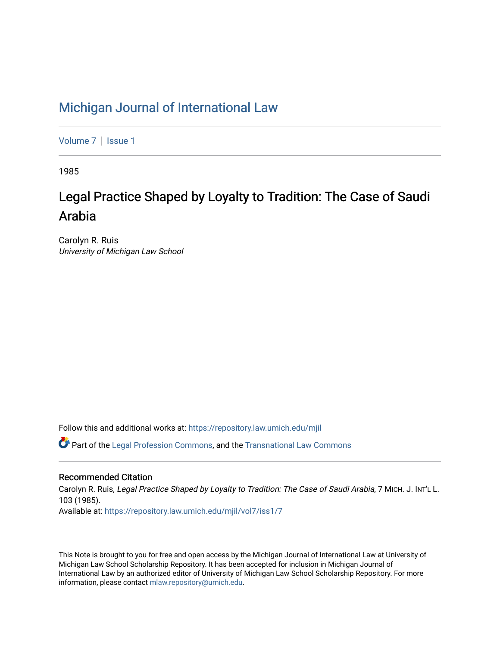## [Michigan Journal of International Law](https://repository.law.umich.edu/mjil)

[Volume 7](https://repository.law.umich.edu/mjil/vol7) | Issue 1

1985

# Legal Practice Shaped by Loyalty to Tradition: The Case of Saudi Arabia

Carolyn R. Ruis University of Michigan Law School

Follow this and additional works at: [https://repository.law.umich.edu/mjil](https://repository.law.umich.edu/mjil?utm_source=repository.law.umich.edu%2Fmjil%2Fvol7%2Fiss1%2F7&utm_medium=PDF&utm_campaign=PDFCoverPages) 

 $\bullet$  Part of the [Legal Profession Commons](http://network.bepress.com/hgg/discipline/1075?utm_source=repository.law.umich.edu%2Fmjil%2Fvol7%2Fiss1%2F7&utm_medium=PDF&utm_campaign=PDFCoverPages), and the [Transnational Law Commons](http://network.bepress.com/hgg/discipline/1123?utm_source=repository.law.umich.edu%2Fmjil%2Fvol7%2Fiss1%2F7&utm_medium=PDF&utm_campaign=PDFCoverPages)

## Recommended Citation

Carolyn R. Ruis, Legal Practice Shaped by Loyalty to Tradition: The Case of Saudi Arabia, 7 MICH. J. INT'L L. 103 (1985). Available at: [https://repository.law.umich.edu/mjil/vol7/iss1/7](https://repository.law.umich.edu/mjil/vol7/iss1/7?utm_source=repository.law.umich.edu%2Fmjil%2Fvol7%2Fiss1%2F7&utm_medium=PDF&utm_campaign=PDFCoverPages)

This Note is brought to you for free and open access by the Michigan Journal of International Law at University of Michigan Law School Scholarship Repository. It has been accepted for inclusion in Michigan Journal of International Law by an authorized editor of University of Michigan Law School Scholarship Repository. For more information, please contact [mlaw.repository@umich.edu](mailto:mlaw.repository@umich.edu).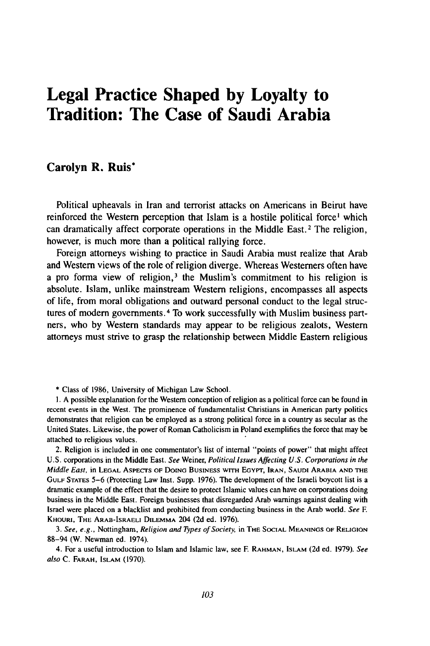## **Legal Practice Shaped by Loyalty to Tradition: The Case of Saudi Arabia**

## **Carolyn R. Ruis\***

Political upheavals in Iran and terrorist attacks on Americans in Beirut have reinforced the Western perception that Islam is a hostile political force' which can dramatically affect corporate operations in the Middle East.2 The religion, however, is much more than a political rallying force.

Foreign attorneys wishing to practice in Saudi Arabia must realize that Arab and Western views of the role of religion diverge. Whereas Westerners often have a pro forma view of religion,<sup>3</sup> the Muslim's commitment to his religion is absolute. Islam, unlike mainstream Western religions, encompasses all aspects of life, from moral obligations and outward personal conduct to the legal structures of modern governments. 4 To work successfully with Muslim business partners, who by Western standards may appear to be religious zealots, Western attorneys must strive to grasp the relationship between Middle Eastern religious

**\*** Class of 1986, University of Michigan Law School.

**1.** A possible explanation for the Western conception of religion as a political force can be found in recent events in the West. The prominence of fundamentalist Christians in American party politics demonstrates that religion can be employed as a strong political force in a country as secular as the United States. Likewise, the power of Roman Catholicism in Poland exemplifies the force that may be attached to religious values.

2. Religion is included in one commentator's list of internal "points of power" that might affect U.S. corporations in the Middle East. See Weiner, Political *Issues Affecting U.S. Corporations in the* Middle East, in LEGAL ASPECTS OF DOING BUSINESS **WITH EGYPT,** IRAN, **SAUDI** ARABIA **AND** THE **GULF** STATES 5-6 (Protecting Law Inst. Supp. 1976). The development of the Israeli boycott list is a dramatic example of the effect that the desire to protect Islamic values can have on corporations doing business in the Middle East. Foreign businesses that disregarded Arab warnings against dealing with Israel were placed on a blacklist and prohibited from conducting business in the Arab world. *See F* KHOURI, THE ARAB-ISRAELI DILEMMA 204 **(2d** ed. 1976).

*3. See, e.g.,* Nottingham, Religion *and 7pes of Society,* in THE **SOCIAL MEANINGS** OF **RELIGION** 88-94 (W. Newman ed. 1974).

4. For a useful introduction to Islam and Islamic law, see **F** RAHMAN, **ISLAM** (2d ed. 1979). *See* also C. FARAH, **ISLAM** (1970).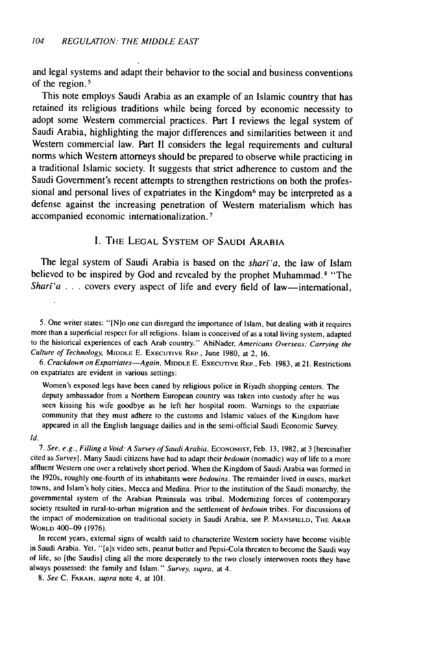and legal systems and adapt their behavior to the social and business conventions of the region.<sup>5</sup>

This note employs Saudi Arabia as an example of an Islamic country that has retained its religious traditions while being forced **by** economic necessity to adopt some Western commercial practices. Part **I** reviews the legal system of Saudi Arabia, highlighting the major differences and similarities between it and Western commercial law. Part **II** considers the legal requirements and cultural **norms** which Western attorneys should be prepared to observe while practicing in a traditional Islamic society. It suggests that strict adherence to custom and the Saudi Government's recent attempts to strengthen restrictions on both the professional and personal lives of expatriates in the Kingdom<sup>6</sup> may be interpreted as a defense against the increasing penetration of Western materialism which has accompanied economic internationalization. <sup>7</sup>

## **1.** THE LEGAL SYSTEM OF **SAUDI** ARABIA

The legal system of Saudi Arabia is based on the *shart'a,* the law of Islam believed to be inspired by God and revealed by the prophet Muhammad. 8 "The *Shart'a* . . . covers every aspect of life and every field of law—international,

5. One writer states: "[Nlo one can disregard the importance of Islam, but dealing with it requires more than a superficial respect for all religions. Islam is conceived of as a total living system, adapted to the historical experiences of each Arab country." AbiNader, Americans Overseas: Carrying the Culture of Technology, MIDDLE E. **EXECUTIVE** REP., June 1980, at 2, 16.

6. Crackdown on Expatriates-Again, MIDDLE E. **EXECUTIVE** REP., Feb. 1983, at 21. Restrictions on expatriates are evident in various settings:

Women's exposed legs have been caned by religious police in Riyadh shopping centers. The deputy ambassador from a Northern European country was taken into custody after he was seen kissing his wife goodbye as he left her hospital room. Warnings to the expatriate community that they must adhere to the customs and Islamic values of the Kingdom have appeared in all the English language dailies and in the semi-official Saudi Economic Survey.

#### Id.

7. See, e.g., Filling a Void: A Survey of Saudi Arabia, ECONOMIST, Feb. 13, 1982, at 3 [hereinafter cited as Survey]. Many Saudi citizens have had to adapt their bedouin (nomadic) way of life to a more affluent Western one over a relatively short period. When the Kingdom of Saudi Arabia was formed in the 1920s, roughly one-fourth of its inhabitants were *bedouins*. The remainder lived in oases, market towns, and Islam's holy cities, Mecca and Medina. Prior to the institution of the Saudi monarchy, the governmental system of the Arabian Peninsula was tribal. Modernizing forces of contemporary society resulted in rural-to-urban migration and the settlement of bedouin tribes. For discussions of the impact of modernization on traditional society in Saudi Arabia, see P. **MANSFIELD, THE** ARAB WORLD 400-09 (1976).

In recent years, external signs of wealth said to characterize Western society have become visible in Saudi Arabia. Yet, **"** [a]s video sets, peanut butter and Pepsi-Cola threaten to become the Saudi way of life, so [the Saudis] cling all the more desperately to the two closely interwoven roots they have always possessed: the family and Islam." Survey, supra, at 4.

8. See C. FARAH, supra note 4, at 101.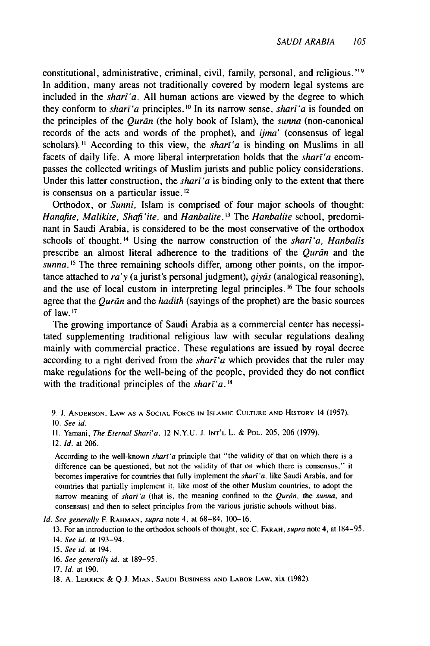constitutional, administrative, criminal, civil, family, personal, and religious."<sup>9</sup> In addition, many areas not traditionally covered by modem legal systems are included in the *shari'a.* All human actions are viewed by the degree to which they conform to *shari'a* principles. <sup>10</sup> In its narrow sense, *shari'a* is founded on the principles of the *Qurdn* (the holy book of Islam), the *sunna* (non-canonical records of the acts and words of the prophet), and *ijma'* (consensus of legal scholars).<sup>11</sup> According to this view, the *shart'a* is binding on Muslims in all facets of daily life. A more liberal interpretation holds that the *shari'a* encompasses the collected writings of Muslim jurists and public policy considerations. Under this latter construction, the *shari'a* is binding only to the extent that there is consensus on a particular issue.<sup>12</sup>

Orthodox, or *Sunni,* Islam is comprised of four major schools of thought: *Hanafite, Malikite, Shafi 'ite,* and *Hanbalite.* **'3** *The Hanbalite* school, predominant in Saudi Arabia, is considered to be the most conservative of the orthodox schools of thought.<sup>14</sup> Using the narrow construction of the *shari'a*, *Hanbalis* prescribe an almost literal adherence to the traditions of the *Qurdn* and the *sunna*.<sup>15</sup> The three remaining schools differ, among other points, on the importance attached to *ra'y* (a jurist's personal judgment), *qiyds* (analogical reasoning), and the use of local custom in interpreting legal principles. **16** The four schools agree that the *Qurān* and the *hadith* (sayings of the prophet) are the basic sources of law.<sup>17</sup>

The growing importance of Saudi Arabia as a commercial center has necessitated supplementing traditional religious law with secular regulations dealing mainly with commercial practice. These regulations are issued by royal decree according to a right derived from the *shart'a* which provides that the ruler may make regulations for the well-being of the people, provided they do not conflict with the traditional principles of the *shart'a*.<sup>18</sup>

- 9. **J. ANDERSON, LAW AS A SOCIAL** FORCE **IN ISLAMIC CULTURE AND** HISTORY 14 (1957). 10. *See id.*
- **11.** Yamani, *The Eternal Shari'a,* 12 N.Y.U. J. **INT'L** L. & POL. 205, 206 (1979).

According to the well-known *shari'a* principle that "the validity of that on which there is a difference can be questioned, but not the validity of that on which there is consensus," it becomes imperative for countries that fully implement the *shari'a*, like Saudi Arabia, and for countries that partially implement it, like most of the other Muslim countries, to adopt the narrow meaning of *shari'a* (that is, the meaning confined to the *Qurān*, the *sunna*, and consensus) and then to select principles from the various juristic schools without bias.

*Id.* See generally **F** RAHMAN, *supra* note 4, at **68-84,** 100-16.

13. For an introduction to the orthodox schools of thought, see C. **FARAH,** supra note 4, at 184-95. 14. *See* id. at 193-94.

- **15.** *See id.* at 194.
- 16. *See generally* id. at 189-95.
- **17. Id.** at 190.
- 18. A. LERRICK **& Q.J. MIAN, SAUDI BUSINESS AND** LABOR LAW, xix (1982).

<sup>12.</sup> *Id.* at 206.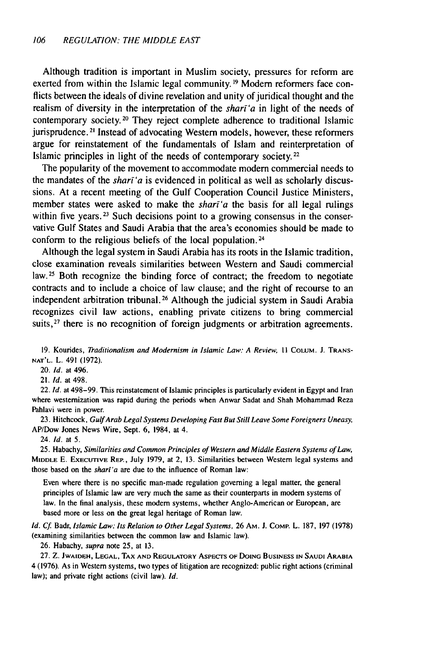Although tradition is important in Muslim society, pressures for reform are exerted from within the Islamic legal community. **19** Modern reformers face conflicts between the ideals of divine revelation and unity of juridical thought and the realism of diversity in the interpretation of the *sharf'a* in light of the needs of contemporary society. 20 They reject complete adherence to traditional Islamic jurisprudence. **2'** Instead of advocating Western models, however, these reformers argue for reinstatement of the fundamentals of Islam and reinterpretation of Islamic principles in light of the needs of contemporary society. 22

The popularity of the movement to accommodate modern commercial needs to the mandates of the *shart'a* is evidenced in political as well as scholarly discussions. At a recent meeting of the Gulf Cooperation Council Justice Ministers, member states were asked to make the *sharf'a* the basis for all legal rulings within five years.<sup>23</sup> Such decisions point to a growing consensus in the conservative Gulf States and Saudi Arabia that the area's economies should be made to conform to the religious beliefs of the local population.<sup>24</sup>

Although the legal system in Saudi Arabia has its roots in the Islamic tradition, close examination reveals similarities between Western and Saudi commercial **law. <sup>25</sup>**Both recognize the binding force of contract; the freedom to negotiate contracts and to include a choice of law clause; and the right of recourse to an independent arbitration tribunal. 26 Although the judicial system in Saudi Arabia recognizes civil law actions, enabling private citizens to bring commercial suits, <sup>27</sup> there is no recognition of foreign judgments or arbitration agreements.

**19.** Kourides, *Traditionalism* and Modernism in Islamic Law: **A** Review, *II* **COLUM. J. TRANS-NAT'L.** L. 491 **(1972).**

20. **id.** at 496.

21. *Id.* at 498.

22. *Id.* at **498-99.** This reinstatement of Islamic principles is particularly evident in **Egypt** and Iran where westernization was rapid during the periods when Anwar Sadat and Shah Mohammad Reza Pahlavi were in power.

**23.** Hitchcock, GulfArab Legal Systems Developing Fast But Still Leave Some Foreigners Uneasy, AP/Dow Jones News Wire, Sept. **6,** 1984, at 4.

24. **Id.** at **5.**

**25.** Habachy, Similarities and Common Principles of Western and *Middle* Eastern Systems of Law, **MIDDLE E. EXECUTIVE REP., July 1979,** at 2, **13.** Similarities between Western legal systems and those based on the shari'a are due to the influence of Roman law:

Even where there is no specific man-made regulation governing a legal matter, the general principles of Islamic law are very much the same as their counterparts in modem systems of law. In the final analysis, these modern systems, whether Anglo-American or European, are based more or less on the great legal heritage of Roman law.

*Id. Cf* Badr, Islamic Law: Its Relation to Other Legal Systems, **26 AM. J. COMp.** L. **187, 197 (1978)** (examining similarities between the common law and Islamic law).

**26.** Habachy, supra note **25,** at **13.**

**27. Z. JWAIDEH, LEGAL, TAX AND REGULATORY ASPECTS OF DOING BUSINESS IN SAUDI ARABIA 4 (1976).** As in Western systems, two types of litigation are recognized: public right actions (criminal law); and private right actions (civil law). *ld.*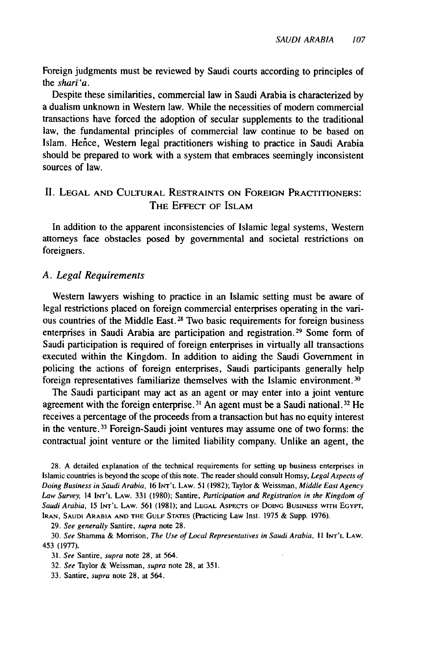Foreign judgments must be reviewed by Saudi courts according to principles of the *shari'a.*

Despite these similarities, commercial law in Saudi Arabia is characterized by a dualism unknown in Western law. While the necessities of modem commercial transactions have forced the adoption of secular supplements to the traditional law, the fundamental principles of commercial law continue to be based on Islam. Hence, Western legal practitioners wishing to practice in Saudi Arabia should be prepared to work with a system that embraces seemingly inconsistent sources of law.

## II. **LEGAL AND CULTURAL** RESTRAINTS **ON** FOREIGN PRACTITIONERS: THE **EFFECT** OF **ISLAM**

In addition to the apparent inconsistencies of Islamic legal systems, Western attorneys face obstacles posed by governmental and societal restrictions on foreigners.

### *A. Legal Requirements*

Western lawyers wishing to practice in an Islamic setting must be aware of legal restrictions placed on foreign commercial enterprises operating in the various countries of the Middle East. 28 Two basic requirements for foreign business enterprises in Saudi Arabia are participation and registration.<sup>29</sup> Some form of Saudi participation is required of foreign enterprises in virtually all transactions executed within the Kingdom. In addition to aiding the Saudi Government in policing the actions of foreign enterprises, Saudi participants generally help foreign representatives familiarize themselves with the Islamic environment. **30**

The Saudi participant may act as an agent or may enter into a joint venture agreement with the foreign enterprise.<sup>31</sup> An agent must be a Saudi national.<sup>32</sup> He receives a percentage of the proceeds from a transaction but has no equity interest in the venture.<sup>33</sup> Foreign-Saudi joint ventures may assume one of two forms: the contractual joint venture or the limited liability company. Unlike an agent, the

28. A detailed explanation of the technical requirements for setting up business enterprises in Islamic countries is beyond the scope of this note. The reader should consult Homsy, Legal Aspects of *Doing* Business in Saudi Arabia, **16 INT'L** LAW. 51 (1982); Taylor & Weissman, Middle East Agency Law Survey, 14 INT'L LAW. 331 **(1980);** Santire, *Participation* and Registration in the *Kingdom of* Saudi Arabia, 15 **INT'L** LAW. 561 (1981); and **LEGAL** AsPEcrs OF DOING **BUSINESS** WITH EGYPT, **IRAN, SAUDI** ARABIA **AND** THE **GULF STATES** (Practicing Law Inst. 1975 & Supp. 1976).

29. See generally Santire, supra note 28.

<sup>30.</sup> See Shamma & Morrison, The Use of Local Representatives in Saudi Arabia, **II** INT'L LAW. 453 (1977).

<sup>31.</sup> See Santire, supra note 28, at 564.

<sup>32.</sup> See Taylor & Weissman, supra note 28, at 351.

<sup>33.</sup> Santire, supra note 28, at 564.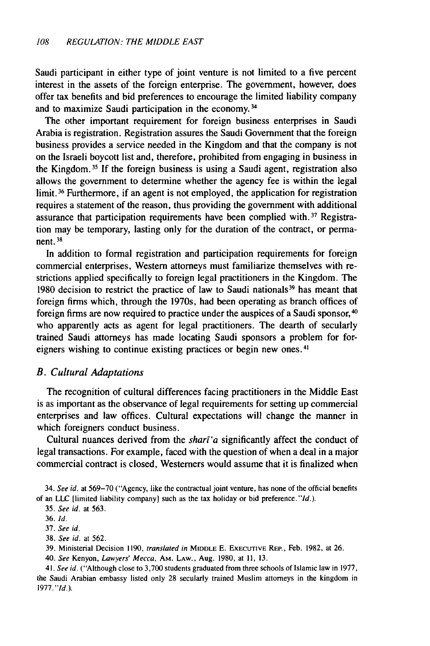Saudi participant in either type of joint venture is not limited to a five percent interest in the assets of the foreign enterprise. The government, however, does offer tax benefits and bid preferences to encourage the limited liability company and to maximize Saudi participation in the economy.<sup>34</sup>

The other important requirement for foreign business enterprises in Saudi Arabia is registration. Registration assures the Saudi Government that the foreign business provides a service needed in the Kingdom and that the company is not on the Israeli boycott list and, therefore, prohibited from engaging in business in the Kingdom. 35 If the foreign business is using a Saudi agent, registration also allows the government to determine whether the agency fee is within the legal limit. 36 Furthermore, if an agent is not employed, the application for registration requires a statement of the reason, thus providing the government with additional assurance that participation requirements have been complied with. 37 Registration may be temporary, lasting only for the duration of the contract, or permanent. **31**

In addition to formal registration and participation requirements for foreign commercial enterprises, Western attorneys must familiarize themselves with restrictions applied specifically to foreign legal practitioners in the Kingdom. The 1980 decision to restrict the practice of law to Saudi nationals 39 has meant that foreign firms which, through the 1970s, had been operating as branch offices of foreign firms are now required to practice under the auspices of a Saudi sponsor,<sup>40</sup> who apparently acts as agent for legal practitioners, The dearth of secularly trained Saudi attorneys has made locating Saudi sponsors a problem for foreigners wishing to continue existing practices or begin new ones. <sup>41</sup>

### B. Cultural Adaptations

The recognition of cultural differences facing practitioners in the Middle East is as important as the observance of legal requirements for setting up commercial enterprises and law offices. Cultural expectations will change the manner in which foreigners conduct business.

Cultural nuances derived from the *shari'a* significantly affect the conduct of legal transactions. For example, faced with the question of when a deal in a major commercial contract is closed, Westerners would assume that it is finalized when

34. *See* id. at 569-70 ("Agency, like the contractual joint venture, has none of the official benefits of an **LLC** [limited liability company) such as the tax holiday or bid preference."Id.).

39. Ministerial Decision 1190, *translated in* MIDDLE E. **EXECUTIVE** REP., Feb. 1982, at 26.

40. *See* Kenyon, *Lawyers' Mecca,* AM. **LAW.,** Aug. 1980, at **11,** 13.

41. *See id.* ("Although close to 3,700 students graduated from three schools of Islamic law in 1977, the Saudi Arabian embassy listed only 28 secularly trained Muslim attorneys in the kingdom in 1977. "Id.).

<sup>35.</sup> *See id.* at 563.

<sup>36.</sup> Id.

<sup>37.</sup> *See id.*

<sup>38.</sup> *See id.* at 562.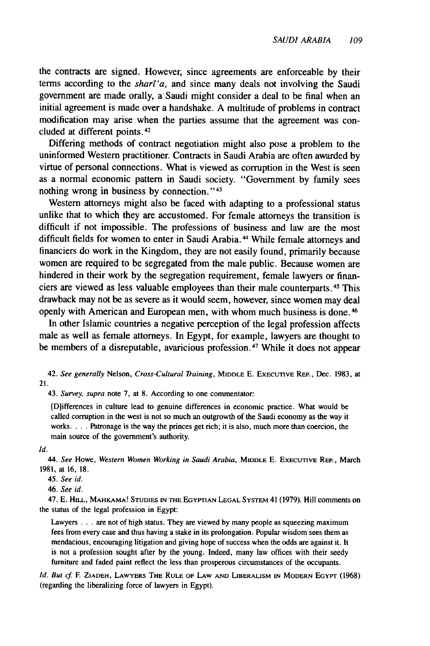the contracts are signed. However, since agreements are enforceable **by** their terms according to the *shart'a*, and since many deals not involving the Saudi government are made orally, a-Saudi might consider a deal to be final when an initial agreement is made over a handshake. A multitude of problems in contract modification may arise when the parties assume that the agreement was concluded at different points. <sup>42</sup>

Differing methods of contract negotiation might also pose a problem to the uninformed Western practitioner. Contracts in Saudi Arabia are often awarded by virtue of personal connections. What is viewed as corruption in the West is seen as a normal economic pattern in Saudi society. "Government by family sees nothing wrong in business by connection." <sup>43</sup>

Western attorneys might also be faced with adapting to a professional status unlike that to which they are accustomed. For female attorneys the transition is difficult if not impossible. The professions of business and law are the most difficult fields for women to enter in Saudi Arabia.<sup>44</sup> While female attorneys and financiers do work in the Kingdom, they are not easily found, primarily because women are required to be segregated from the male public. Because women are hindered in their work by the segregation requirement, female lawyers or financiers are viewed as less valuable employees than their male counterparts. 45 This drawback may not be as severe as it would seem, however, since women may deal openly with American and European men, with whom much business is done. 46

In other Islamic countries a negative perception of the legal profession affects male as well as female attorneys. In Egypt, for example, lawyers are thought to be members of a disreputable, avaricious profession. 47 While it does not appear

42. See generally Nelson, Cross-Cultural Training, MIDDLE E. EXECUTIVE REP., Dec. 1983, at 21.

43. Survey, supra note 7, at 8. According to one commentator:

[D]ifferences in culture lead to genuine differences in economic practice. What would be called corruption in the west is not so much an outgrowth of the Saudi economy as the way it works. . . . Patronage is the way the princes get rich; it is also, much more than coercion, the main source of the government's authority.

Id.

*44.* See Howe, *Western Women Working in Saudi Arabia,* MIDDLE E. **EXECUTIVE** REp., March 1981, at 16, 18.

45. *See* id.

46. See id.

47. **E.** HILL, MAHKAMA! **STUDIES IN THE** EGYPTIAN LEGAL SYSTEM 41 (1979). Hill comments **on** the status of the legal profession in Egypt:

Lawyers . . . are not of high status. They are viewed by many people as squeezing maximum fees from every case and thus having a stake in its prolongation. Popular wisdom sees them as mendacious, encouraging litigation and giving hope of success when the odds are against it. It is not a profession sought after by the young. Indeed, many law offices with their seedy furniture and faded paint reflect the less than prosperous circumstances of the occupants.

**Id.** But cf **E** ZIADEH, LAWYERS THE RULE OF LAW **AND** LIBERALISM **IN** MODERN **EGYPT** (1968) (regarding the liberalizing force of lawyers in Egypt).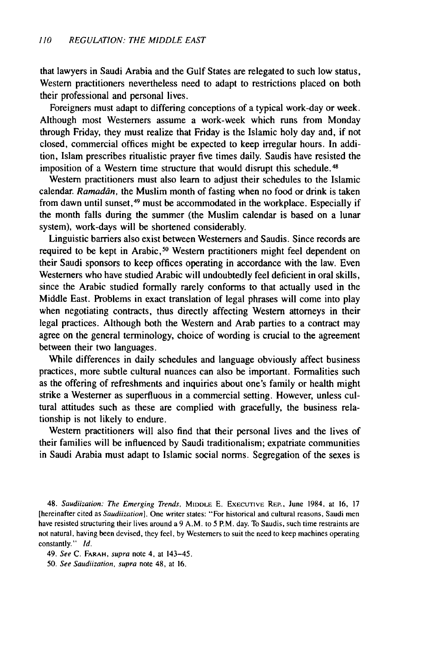that lawyers in Saudi Arabia and the Gulf States are relegated to such low status, Western practitioners nevertheless need to adapt to restrictions placed on both their professional and personal lives.

Foreigners must adapt to differing conceptions of a typical work-day or week. Although most Westerners assume a work-week which runs from Monday through Friday, they must realize that Friday is the Islamic holy day and, if not closed, commercial offices might be expected to keep irregular hours. In addition, Islam prescribes ritualistic prayer five times daily. Saudis have resisted the imposition of a Western time structure that would disrupt this schedule. <sup>48</sup>

Western practitioners must also learn to adjust their schedules to the Islamic calendar. Ramadan, the Muslim month of fasting when no food or drink is taken from dawn until sunset, 49 must be accommodated in the workplace. Especially if the month falls during the summer (the Muslim calendar is based on a lunar system), work-days will be shortened considerably.

Linguistic barriers also exist between Westerners and Saudis. Since records are required to be kept in Arabic,<sup>50</sup> Western practitioners might feel dependent on their Saudi sponsors to keep offices operating in accordance with the law. Even Westerners who have studied Arabic will undoubtedly feel deficient in oral skills, since the Arabic studied formally rarely conforms to that actually used in the Middle East. Problems in exact translation of legal phrases will come into play when negotiating contracts, thus directly affecting Western attorneys in their legal practices. Although both the Western and Arab parties to a contract may agree on the general terminology, choice of wording is crucial to the agreement between their two languages.

While differences in daily schedules and language obviously affect business practices, more subtle cultural nuances can also be important. Formalities such as the offering of refreshments and inquiries about one's family or health might strike a Westerner as superfluous in a commercial setting. However, unless cultural attitudes such as these are complied with gracefully, the business relationship is not likely to endure.

Western practitioners will also find that their personal lives and the lives of their families will be influenced by Saudi traditionalism; expatriate communities in Saudi Arabia must adapt to Islamic social norms. Segregation of the sexes is

48. *Saudiization: The Emerging Trends,* MIDDLE E. EXECUTIVE REP., June 1984, at 16, 17 [hereinafter cited as *Saudiization].* One writer states: "For historical and cultural reasons, Saudi men have resisted structuring their lives around a 9 A.M. to 5 P.M. day. To Saudis, such time restraints are not natural, having been devised, they feel, by Westerners to suit the need to keep machines operating constantly." *Id.*

49. *See* C. FARAH, supra note 4, at 143-45.

50. *See Saudiization, supra* note 48, at 16.